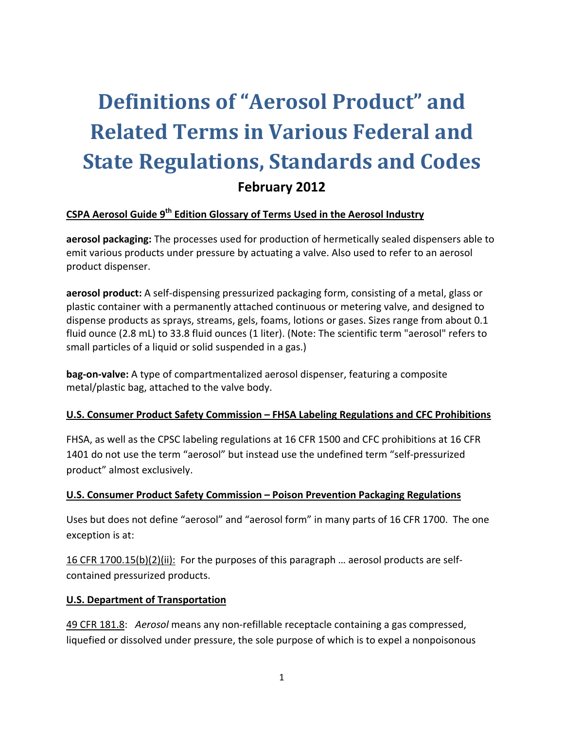# **Definitions of "Aerosol Product" and Related Terms in Various Federal and State Regulations, Standards and Codes February 2012**

# **CSPA Aerosol Guide 9th Edition Glossary of Terms Used in the Aerosol Industry**

**aerosol packaging:** The processes used for production of hermetically sealed dispensers able to emit various products under pressure by actuating a valve. Also used to refer to an aerosol product dispenser.

**aerosol product:** A self‐dispensing pressurized packaging form, consisting of a metal, glass or plastic container with a permanently attached continuous or metering valve, and designed to dispense products as sprays, streams, gels, foams, lotions or gases. Sizes range from about 0.1 fluid ounce (2.8 mL) to 33.8 fluid ounces (1 liter). (Note: The scientific term "aerosol" refers to small particles of a liquid or solid suspended in a gas.)

**bag‐on‐valve:** A type of compartmentalized aerosol dispenser, featuring a composite metal/plastic bag, attached to the valve body.

#### **U.S. Consumer Product Safety Commission – FHSA Labeling Regulations and CFC Prohibitions**

FHSA, as well as the CPSC labeling regulations at 16 CFR 1500 and CFC prohibitions at 16 CFR 1401 do not use the term "aerosol" but instead use the undefined term "self-pressurized product" almost exclusively.

#### **U.S. Consumer Product Safety Commission – Poison Prevention Packaging Regulations**

Uses but does not define "aerosol" and "aerosol form" in many parts of 16 CFR 1700. The one exception is at:

16 CFR 1700.15(b)(2)(ii): For the purposes of this paragraph ... aerosol products are selfcontained pressurized products.

#### **U.S. Department of Transportation**

49 CFR 181.8: *Aerosol* means any non‐refillable receptacle containing a gas compressed, liquefied or dissolved under pressure, the sole purpose of which is to expel a nonpoisonous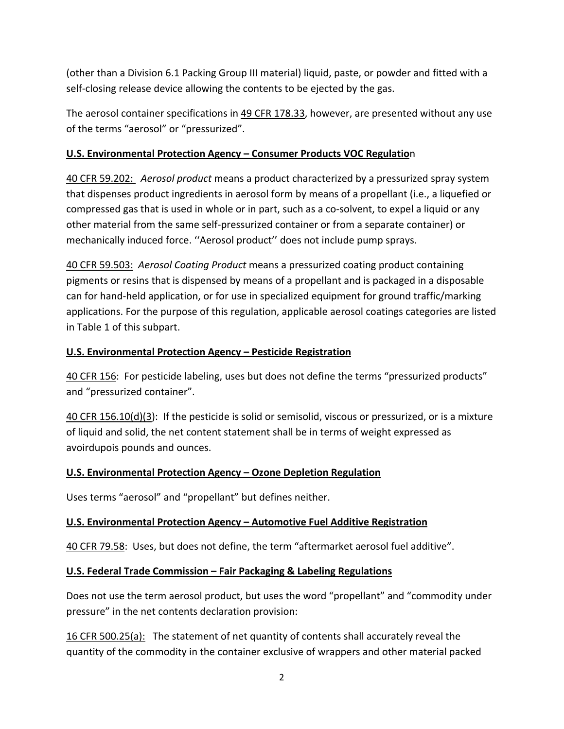(other than a Division 6.1 Packing Group III material) liquid, paste, or powder and fitted with a self‐closing release device allowing the contents to be ejected by the gas.

The aerosol container specifications in 49 CFR 178.33, however, are presented without any use of the terms "aerosol" or "pressurized".

# **U.S. Environmental Protection Agency – Consumer Products VOC Regulatio**n

40 CFR 59.202:  *Aerosol product* means a product characterized by a pressurized spray system that dispenses product ingredients in aerosol form by means of a propellant (i.e., a liquefied or compressed gas that is used in whole or in part, such as a co‐solvent, to expel a liquid or any other material from the same self‐pressurized container or from a separate container) or mechanically induced force. ''Aerosol product'' does not include pump sprays.

40 CFR 59.503: *Aerosol Coating Product* means a pressurized coating product containing pigments or resins that is dispensed by means of a propellant and is packaged in a disposable can for hand‐held application, or for use in specialized equipment for ground traffic/marking applications. For the purpose of this regulation, applicable aerosol coatings categories are listed in Table 1 of this subpart.

# **U.S. Environmental Protection Agency – Pesticide Registration**

40 CFR 156: For pesticide labeling, uses but does not define the terms "pressurized products" and "pressurized container".

40 CFR 156.10(d)(3): If the pesticide is solid or semisolid, viscous or pressurized, or is a mixture of liquid and solid, the net content statement shall be in terms of weight expressed as avoirdupois pounds and ounces.

#### **U.S. Environmental Protection Agency – Ozone Depletion Regulation**

Uses terms "aerosol" and "propellant" but defines neither.

#### **U.S. Environmental Protection Agency – Automotive Fuel Additive Registration**

40 CFR 79.58: Uses, but does not define, the term "aftermarket aerosol fuel additive".

#### **U.S. Federal Trade Commission – Fair Packaging & Labeling Regulations**

Does not use the term aerosol product, but uses the word "propellant" and "commodity under pressure" in the net contents declaration provision:

16 CFR 500.25(a): The statement of net quantity of contents shall accurately reveal the quantity of the commodity in the container exclusive of wrappers and other material packed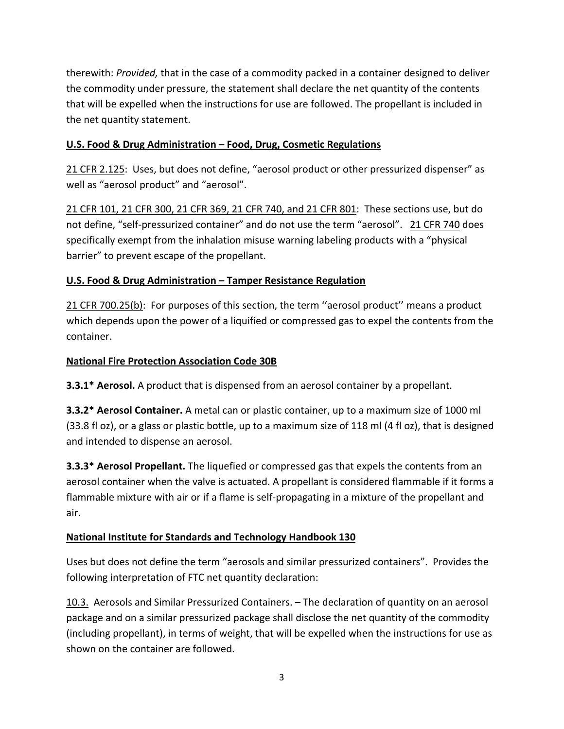therewith: *Provided,* that in the case of a commodity packed in a container designed to deliver the commodity under pressure, the statement shall declare the net quantity of the contents that will be expelled when the instructions for use are followed. The propellant is included in the net quantity statement.

# **U.S. Food & Drug Administration – Food, Drug, Cosmetic Regulations**

21 CFR 2.125: Uses, but does not define, "aerosol product or other pressurized dispenser" as well as "aerosol product" and "aerosol".

21 CFR 101, 21 CFR 300, 21 CFR 369, 21 CFR 740, and 21 CFR 801: These sections use, but do not define, "self-pressurized container" and do not use the term "aerosol". 21 CFR 740 does specifically exempt from the inhalation misuse warning labeling products with a "physical barrier" to prevent escape of the propellant.

# **U.S. Food & Drug Administration – Tamper Resistance Regulation**

21 CFR 700.25(b): For purposes of this section, the term ''aerosol product'' means a product which depends upon the power of a liquified or compressed gas to expel the contents from the container.

# **National Fire Protection Association Code 30B**

**3.3.1\* Aerosol.** A product that is dispensed from an aerosol container by a propellant.

**3.3.2\* Aerosol Container.** A metal can or plastic container, up to a maximum size of 1000 ml (33.8 fl oz), or a glass or plastic bottle, up to a maximum size of 118 ml (4 fl oz), that is designed and intended to dispense an aerosol.

**3.3.3\* Aerosol Propellant.** The liquefied or compressed gas that expels the contents from an aerosol container when the valve is actuated. A propellant is considered flammable if it forms a flammable mixture with air or if a flame is self‐propagating in a mixture of the propellant and air.

# **National Institute for Standards and Technology Handbook 130**

Uses but does not define the term "aerosols and similar pressurized containers". Provides the following interpretation of FTC net quantity declaration:

10.3. Aerosols and Similar Pressurized Containers. – The declaration of quantity on an aerosol package and on a similar pressurized package shall disclose the net quantity of the commodity (including propellant), in terms of weight, that will be expelled when the instructions for use as shown on the container are followed.